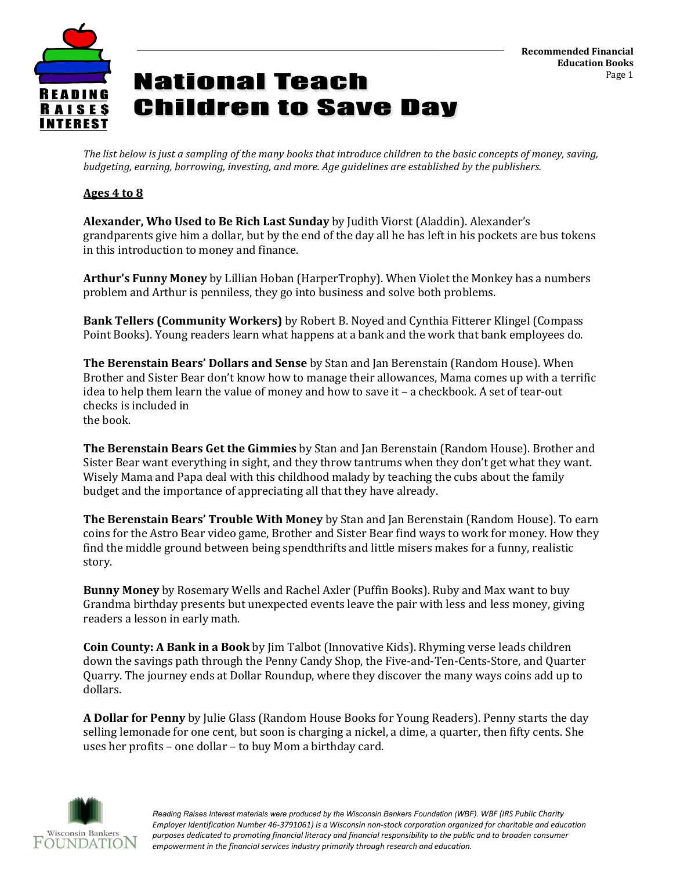

*The list below is just a sampling of the many books that introduce children to the basic concepts of money, saving, budgeting, earning, borrowing, investing, and more. Age guidelines are established by the publishers.*

#### **Ages 4 to 8**

**Alexander, Who Used to Be Rich Last Sunday** by Judith Viorst (Aladdin). Alexander's grandparents give him a dollar, but by the end of the day all he has left in his pockets are bus tokens in this introduction to money and finance.

**Arthur's Funny Money** by Lillian Hoban (HarperTrophy). When Violet the Monkey has a numbers problem and Arthur is penniless, they go into business and solve both problems.

**Bank Tellers (Community Workers)** by Robert B. Noyed and Cynthia Fitterer Klingel (Compass Point Books). Young readers learn what happens at a bank and the work that bank employees do.

**The Berenstain Bears' Dollars and Sense** by Stan and Jan Berenstain (Random House). When Brother and Sister Bear don't know how to manage their allowances, Mama comes up with a terrific idea to help them learn the value of money and how to save it – a checkbook. A set of tear-out checks is included in the book.

**The Berenstain Bears Get the Gimmies** by Stan and Jan Berenstain (Random House). Brother and Sister Bear want everything in sight, and they throw tantrums when they don't get what they want. Wisely Mama and Papa deal with this childhood malady by teaching the cubs about the family budget and the importance of appreciating all that they have already.

**The Berenstain Bears' Trouble With Money** by Stan and Jan Berenstain (Random House). To earn coins for the Astro Bear video game, Brother and Sister Bear find ways to work for money. How they find the middle ground between being spendthrifts and little misers makes for a funny, realistic story.

**Bunny Money** by Rosemary Wells and Rachel Axler (Puffin Books). Ruby and Max want to buy Grandma birthday presents but unexpected events leave the pair with less and less money, giving readers a lesson in early math.

**Coin County: A Bank in a Book** by Jim Talbot (Innovative Kids). Rhyming verse leads children down the savings path through the Penny Candy Shop, the Five-and-Ten-Cents-Store, and Quarter Quarry. The journey ends at Dollar Roundup, where they discover the many ways coins add up to dollars.

**A Dollar for Penny** by Julie Glass (Random House Books for Young Readers). Penny starts the day selling lemonade for one cent, but soon is charging a nickel, a dime, a quarter, then fifty cents. She uses her profits – one dollar – to buy Mom a birthday card.

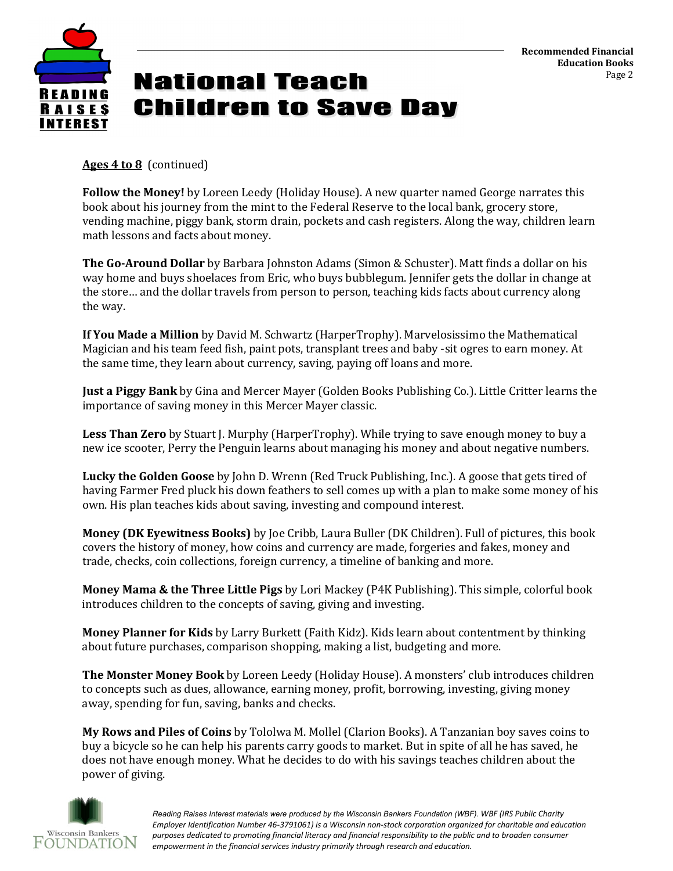

**Ages 4 to 8** (continued)

**Follow the Money!** by Loreen Leedy (Holiday House). A new quarter named George narrates this book about his journey from the mint to the Federal Reserve to the local bank, grocery store, vending machine, piggy bank, storm drain, pockets and cash registers. Along the way, children learn math lessons and facts about money.

**The Go-Around Dollar** by Barbara Johnston Adams (Simon & Schuster). Matt finds a dollar on his way home and buys shoelaces from Eric, who buys bubblegum. Jennifer gets the dollar in change at the store… and the dollar travels from person to person, teaching kids facts about currency along the way.

**If You Made a Million** by David M. Schwartz (HarperTrophy). Marvelosissimo the Mathematical Magician and his team feed fish, paint pots, transplant trees and baby -sit ogres to earn money. At the same time, they learn about currency, saving, paying off loans and more.

**Just a Piggy Bank** by Gina and Mercer Mayer (Golden Books Publishing Co.). Little Critter learns the importance of saving money in this Mercer Mayer classic.

**Less Than Zero** by Stuart J. Murphy (HarperTrophy). While trying to save enough money to buy a new ice scooter, Perry the Penguin learns about managing his money and about negative numbers.

**Lucky the Golden Goose** by John D. Wrenn (Red Truck Publishing, Inc.). A goose that gets tired of having Farmer Fred pluck his down feathers to sell comes up with a plan to make some money of his own. His plan teaches kids about saving, investing and compound interest.

**Money (DK Eyewitness Books)** by Joe Cribb, Laura Buller (DK Children). Full of pictures, this book covers the history of money, how coins and currency are made, forgeries and fakes, money and trade, checks, coin collections, foreign currency, a timeline of banking and more.

**Money Mama & the Three Little Pigs** by Lori Mackey (P4K Publishing). This simple, colorful book introduces children to the concepts of saving, giving and investing.

**Money Planner for Kids** by Larry Burkett (Faith Kidz). Kids learn about contentment by thinking about future purchases, comparison shopping, making a list, budgeting and more.

**The Monster Money Book** by Loreen Leedy (Holiday House). A monsters' club introduces children to concepts such as dues, allowance, earning money, profit, borrowing, investing, giving money away, spending for fun, saving, banks and checks.

**My Rows and Piles of Coins** by Tololwa M. Mollel (Clarion Books). A Tanzanian boy saves coins to buy a bicycle so he can help his parents carry goods to market. But in spite of all he has saved, he does not have enough money. What he decides to do with his savings teaches children about the power of giving.

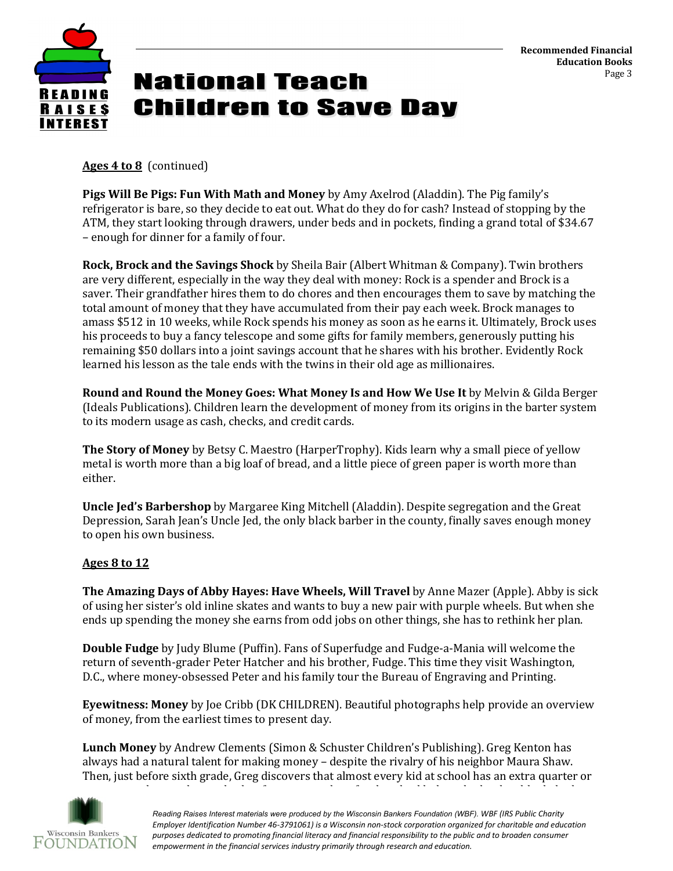

**Ages 4 to 8** (continued)

**Pigs Will Be Pigs: Fun With Math and Money** by Amy Axelrod (Aladdin). The Pig family's refrigerator is bare, so they decide to eat out. What do they do for cash? Instead of stopping by the ATM, they start looking through drawers, under beds and in pockets, finding a grand total of \$34.67 – enough for dinner for a family of four.

**Rock, Brock and the Savings Shock** by Sheila Bair (Albert Whitman & Company). Twin brothers are very different, especially in the way they deal with money: Rock is a spender and Brock is a saver. Their grandfather hires them to do chores and then encourages them to save by matching the total amount of money that they have accumulated from their pay each week. Brock manages to amass \$512 in 10 weeks, while Rock spends his money as soon as he earns it. Ultimately, Brock uses his proceeds to buy a fancy telescope and some gifts for family members, generously putting his remaining \$50 dollars into a joint savings account that he shares with his brother. Evidently Rock learned his lesson as the tale ends with the twins in their old age as millionaires.

**Round and Round the Money Goes: What Money Is and How We Use It** by Melvin & Gilda Berger (Ideals Publications). Children learn the development of money from its origins in the barter system to its modern usage as cash, checks, and credit cards.

**The Story of Money** by Betsy C. Maestro (HarperTrophy). Kids learn why a small piece of yellow metal is worth more than a big loaf of bread, and a little piece of green paper is worth more than either.

**Uncle Jed's Barbershop** by Margaree King Mitchell (Aladdin). Despite segregation and the Great Depression, Sarah Jean's Uncle Jed, the only black barber in the county, finally saves enough money to open his own business.

### **Ages 8 to 12**

**The Amazing Days of Abby Hayes: Have Wheels, Will Travel** by Anne Mazer (Apple). Abby is sick of using her sister's old inline skates and wants to buy a new pair with purple wheels. But when she ends up spending the money she earns from odd jobs on other things, she has to rethink her plan.

**Double Fudge** by Judy Blume (Puffin). Fans of Superfudge and Fudge-a-Mania will welcome the return of seventh-grader Peter Hatcher and his brother, Fudge. This time they visit Washington, D.C., where money-obsessed Peter and his family tour the Bureau of Engraving and Printing.

**Eyewitness: Money** by Joe Cribb (DK CHILDREN). Beautiful photographs help provide an overview of money, from the earliest times to present day.

**Lunch Money** by Andrew Clements (Simon & Schuster Children's Publishing). Greg Kenton has always had a natural talent for making money – despite the rivalry of his neighbor Maura Shaw. Then, just before sixth grade, Greg discovers that almost every kid at school has an extra quarter or